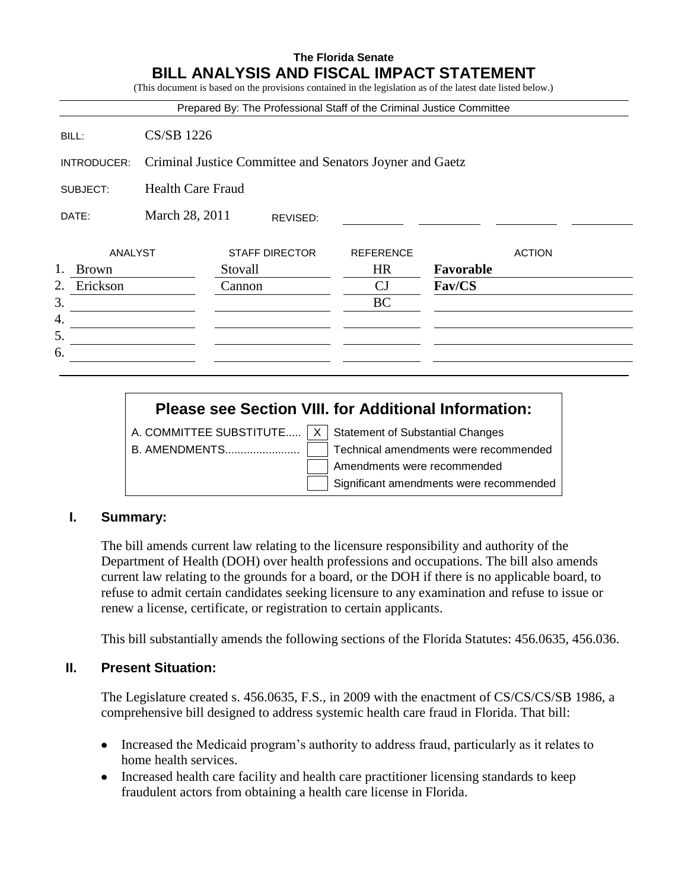# **The Florida Senate BILL ANALYSIS AND FISCAL IMPACT STATEMENT**

(This document is based on the provisions contained in the legislation as of the latest date listed below.)

|             |                |                                                          |         |                       | Prepared By: The Professional Staff of the Criminal Justice Committee |           |               |
|-------------|----------------|----------------------------------------------------------|---------|-----------------------|-----------------------------------------------------------------------|-----------|---------------|
| BILL:       |                | <b>CS/SB 1226</b>                                        |         |                       |                                                                       |           |               |
| INTRODUCER: |                | Criminal Justice Committee and Senators Joyner and Gaetz |         |                       |                                                                       |           |               |
| SUBJECT:    |                | <b>Health Care Fraud</b>                                 |         |                       |                                                                       |           |               |
| DATE:       |                | March 28, 2011<br>REVISED:                               |         |                       |                                                                       |           |               |
|             | <b>ANALYST</b> |                                                          |         | <b>STAFF DIRECTOR</b> | <b>REFERENCE</b>                                                      |           | <b>ACTION</b> |
| 1.          | <b>Brown</b>   |                                                          | Stovall |                       | <b>HR</b>                                                             | Favorable |               |
| 2.          | Erickson       |                                                          | Cannon  |                       | CJ                                                                    | Fav/CS    |               |
| 3.          |                |                                                          |         |                       | <b>BC</b>                                                             |           |               |
| 4.          |                |                                                          |         |                       |                                                                       |           |               |
| 5.          |                |                                                          |         |                       |                                                                       |           |               |
| 6.          |                |                                                          |         |                       |                                                                       |           |               |

# **Please see Section VIII. for Additional Information:**

A. COMMITTEE SUBSTITUTE.....  $X \mid$  Statement of Substantial Changes

B. AMENDMENTS........................ Technical amendments were recommended Amendments were recommended Significant amendments were recommended

#### **I. Summary:**

The bill amends current law relating to the licensure responsibility and authority of the Department of Health (DOH) over health professions and occupations. The bill also amends current law relating to the grounds for a board, or the DOH if there is no applicable board, to refuse to admit certain candidates seeking licensure to any examination and refuse to issue or renew a license, certificate, or registration to certain applicants.

This bill substantially amends the following sections of the Florida Statutes: 456.0635, 456.036.

#### **II. Present Situation:**

The Legislature created s. 456.0635, F.S., in 2009 with the enactment of CS/CS/CS/SB 1986, a comprehensive bill designed to address systemic health care fraud in Florida. That bill:

- Increased the Medicaid program's authority to address fraud, particularly as it relates to home health services.
- Increased health care facility and health care practitioner licensing standards to keep fraudulent actors from obtaining a health care license in Florida.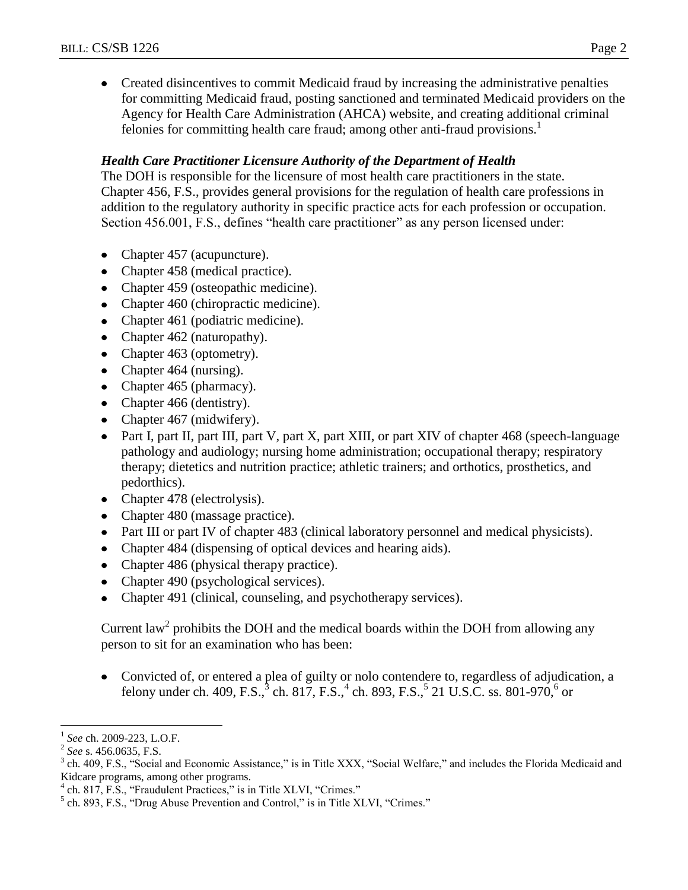Created disincentives to commit Medicaid fraud by increasing the administrative penalties for committing Medicaid fraud, posting sanctioned and terminated Medicaid providers on the Agency for Health Care Administration (AHCA) website, and creating additional criminal felonies for committing health care fraud; among other anti-fraud provisions.<sup>1</sup>

# *Health Care Practitioner Licensure Authority of the Department of Health*

The DOH is responsible for the licensure of most health care practitioners in the state. Chapter 456, F.S., provides general provisions for the regulation of health care professions in addition to the regulatory authority in specific practice acts for each profession or occupation. Section 456.001, F.S., defines "health care practitioner" as any person licensed under:

- Chapter 457 (acupuncture).
- Chapter 458 (medical practice).
- Chapter 459 (osteopathic medicine).
- Chapter 460 (chiropractic medicine).
- Chapter 461 (podiatric medicine).
- Chapter 462 (naturopathy).
- Chapter 463 (optometry).
- Chapter 464 (nursing).
- Chapter 465 (pharmacy).
- Chapter 466 (dentistry).
- Chapter 467 (midwifery).
- Part I, part II, part III, part V, part X, part XIII, or part XIV of chapter 468 (speech-language pathology and audiology; nursing home administration; occupational therapy; respiratory therapy; dietetics and nutrition practice; athletic trainers; and orthotics, prosthetics, and pedorthics).
- Chapter 478 (electrolysis).
- Chapter 480 (massage practice).
- Part III or part IV of chapter 483 (clinical laboratory personnel and medical physicists).
- Chapter 484 (dispensing of optical devices and hearing aids).
- Chapter 486 (physical therapy practice).
- Chapter 490 (psychological services).
- Chapter 491 (clinical, counseling, and psychotherapy services).  $\bullet$

Current law<sup>2</sup> prohibits the DOH and the medical boards within the DOH from allowing any person to sit for an examination who has been:

Convicted of, or entered a plea of guilty or nolo contendere to, regardless of adjudication, a felony under ch. 409, F.S., $^{3}$  ch. 817, F.S., $^{4}$  ch. 893, F.S., $^{5}$  21 U.S.C. ss. 801-970, $^{6}$  or

 $\overline{a}$ 

<sup>1</sup> *See* ch. 2009-223, L.O.F.

<sup>2</sup> *See* s. 456.0635, F.S.

<sup>3</sup> ch. 409, F.S., "Social and Economic Assistance," is in Title XXX, "Social Welfare," and includes the Florida Medicaid and Kidcare programs, among other programs.

<sup>4</sup> ch. 817, F.S., "Fraudulent Practices," is in Title XLVI, "Crimes."

 $<sup>5</sup>$  ch. 893, F.S., "Drug Abuse Prevention and Control," is in Title XLVI, "Crimes."</sup>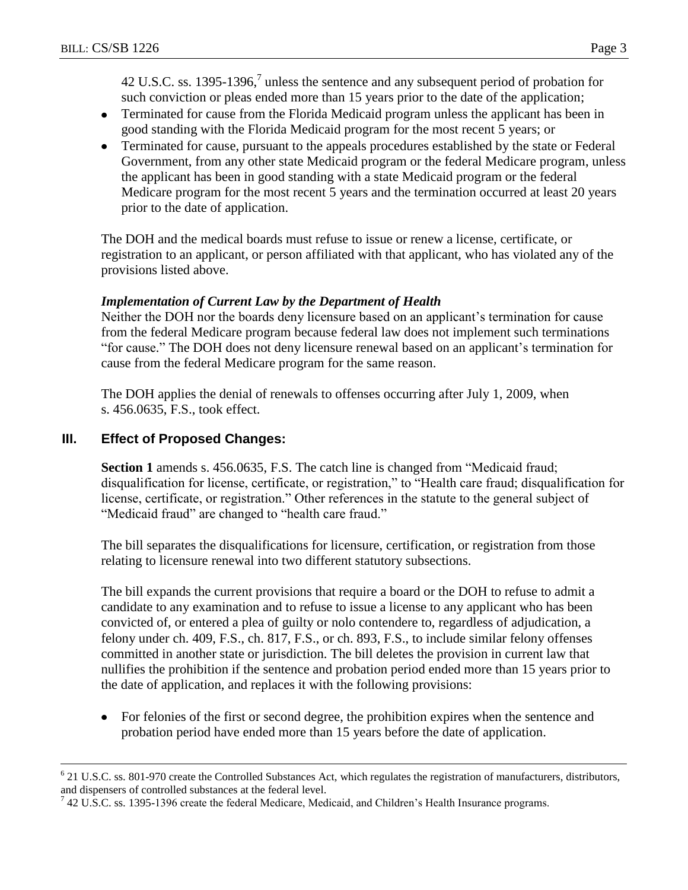42 U.S.C. ss. 1395-1396, $\frac{7}{1}$  unless the sentence and any subsequent period of probation for such conviction or pleas ended more than 15 years prior to the date of the application;

- Terminated for cause from the Florida Medicaid program unless the applicant has been in good standing with the Florida Medicaid program for the most recent 5 years; or
- Terminated for cause, pursuant to the appeals procedures established by the state or Federal Government, from any other state Medicaid program or the federal Medicare program, unless the applicant has been in good standing with a state Medicaid program or the federal Medicare program for the most recent 5 years and the termination occurred at least 20 years prior to the date of application.

The DOH and the medical boards must refuse to issue or renew a license, certificate, or registration to an applicant, or person affiliated with that applicant, who has violated any of the provisions listed above.

## *Implementation of Current Law by the Department of Health*

Neither the DOH nor the boards deny licensure based on an applicant's termination for cause from the federal Medicare program because federal law does not implement such terminations "for cause." The DOH does not deny licensure renewal based on an applicant's termination for cause from the federal Medicare program for the same reason.

The DOH applies the denial of renewals to offenses occurring after July 1, 2009, when s. 456.0635, F.S., took effect.

## **III. Effect of Proposed Changes:**

 $\overline{a}$ 

**Section 1** amends s. 456.0635, F.S. The catch line is changed from "Medicaid fraud; disqualification for license, certificate, or registration," to "Health care fraud; disqualification for license, certificate, or registration." Other references in the statute to the general subject of "Medicaid fraud" are changed to "health care fraud."

The bill separates the disqualifications for licensure, certification, or registration from those relating to licensure renewal into two different statutory subsections.

The bill expands the current provisions that require a board or the DOH to refuse to admit a candidate to any examination and to refuse to issue a license to any applicant who has been convicted of, or entered a plea of guilty or nolo contendere to, regardless of adjudication, a felony under ch. 409, F.S., ch. 817, F.S., or ch. 893, F.S., to include similar felony offenses committed in another state or jurisdiction. The bill deletes the provision in current law that nullifies the prohibition if the sentence and probation period ended more than 15 years prior to the date of application, and replaces it with the following provisions:

For felonies of the first or second degree, the prohibition expires when the sentence and probation period have ended more than 15 years before the date of application.

 $6$  21 U.S.C. ss. 801-970 create the Controlled Substances Act, which regulates the registration of manufacturers, distributors, and dispensers of controlled substances at the federal level.

 $^7$  42 U.S.C. ss. 1395-1396 create the federal Medicare, Medicaid, and Children's Health Insurance programs.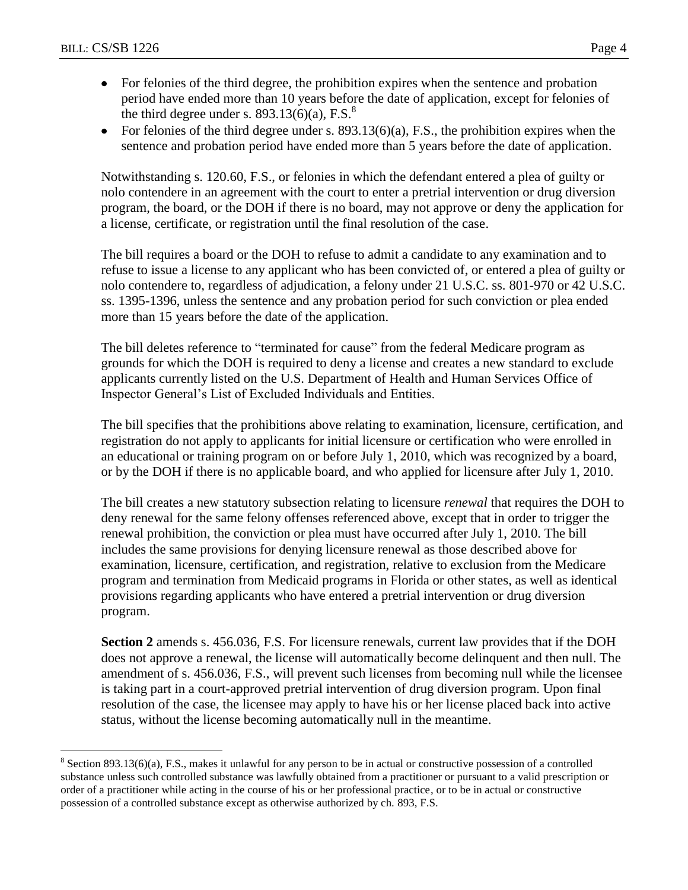$\overline{a}$ 

- For felonies of the third degree, the prohibition expires when the sentence and probation  $\bullet$ period have ended more than 10 years before the date of application, except for felonies of the third degree under s.  $893.13(6)(a)$ , F.S.<sup>8</sup>
- For felonies of the third degree under s.  $893.13(6)(a)$ , F.S., the prohibition expires when the sentence and probation period have ended more than 5 years before the date of application.

Notwithstanding s. 120.60, F.S., or felonies in which the defendant entered a plea of guilty or nolo contendere in an agreement with the court to enter a pretrial intervention or drug diversion program, the board, or the DOH if there is no board, may not approve or deny the application for a license, certificate, or registration until the final resolution of the case.

The bill requires a board or the DOH to refuse to admit a candidate to any examination and to refuse to issue a license to any applicant who has been convicted of, or entered a plea of guilty or nolo contendere to, regardless of adjudication, a felony under 21 U.S.C. ss. 801-970 or 42 U.S.C. ss. 1395-1396, unless the sentence and any probation period for such conviction or plea ended more than 15 years before the date of the application.

The bill deletes reference to "terminated for cause" from the federal Medicare program as grounds for which the DOH is required to deny a license and creates a new standard to exclude applicants currently listed on the U.S. Department of Health and Human Services Office of Inspector General's List of Excluded Individuals and Entities.

The bill specifies that the prohibitions above relating to examination, licensure, certification, and registration do not apply to applicants for initial licensure or certification who were enrolled in an educational or training program on or before July 1, 2010, which was recognized by a board, or by the DOH if there is no applicable board, and who applied for licensure after July 1, 2010.

The bill creates a new statutory subsection relating to licensure *renewal* that requires the DOH to deny renewal for the same felony offenses referenced above, except that in order to trigger the renewal prohibition, the conviction or plea must have occurred after July 1, 2010. The bill includes the same provisions for denying licensure renewal as those described above for examination, licensure, certification, and registration, relative to exclusion from the Medicare program and termination from Medicaid programs in Florida or other states, as well as identical provisions regarding applicants who have entered a pretrial intervention or drug diversion program.

**Section 2** amends s. 456.036, F.S. For licensure renewals, current law provides that if the DOH does not approve a renewal, the license will automatically become delinquent and then null. The amendment of s. 456.036, F.S., will prevent such licenses from becoming null while the licensee is taking part in a court-approved pretrial intervention of drug diversion program. Upon final resolution of the case, the licensee may apply to have his or her license placed back into active status, without the license becoming automatically null in the meantime.

 $8$  Section 893.13(6)(a), F.S., makes it unlawful for any person to be in actual or constructive possession of a controlled substance unless such controlled substance was lawfully obtained from a practitioner or pursuant to a valid prescription or order of a practitioner while acting in the course of his or her professional practice, or to be in actual or constructive possession of a controlled substance except as otherwise authorized by ch. 893, F.S.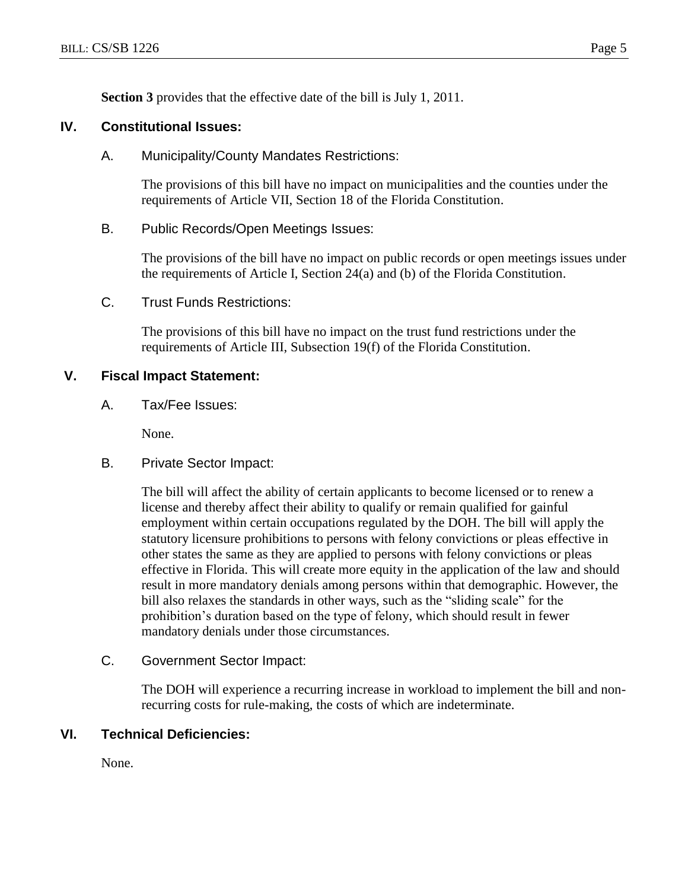**Section 3** provides that the effective date of the bill is July 1, 2011.

# **IV. Constitutional Issues:**

A. Municipality/County Mandates Restrictions:

The provisions of this bill have no impact on municipalities and the counties under the requirements of Article VII, Section 18 of the Florida Constitution.

B. Public Records/Open Meetings Issues:

The provisions of the bill have no impact on public records or open meetings issues under the requirements of Article I, Section 24(a) and (b) of the Florida Constitution.

C. Trust Funds Restrictions:

The provisions of this bill have no impact on the trust fund restrictions under the requirements of Article III, Subsection 19(f) of the Florida Constitution.

#### **V. Fiscal Impact Statement:**

A. Tax/Fee Issues:

None.

B. Private Sector Impact:

The bill will affect the ability of certain applicants to become licensed or to renew a license and thereby affect their ability to qualify or remain qualified for gainful employment within certain occupations regulated by the DOH. The bill will apply the statutory licensure prohibitions to persons with felony convictions or pleas effective in other states the same as they are applied to persons with felony convictions or pleas effective in Florida. This will create more equity in the application of the law and should result in more mandatory denials among persons within that demographic. However, the bill also relaxes the standards in other ways, such as the "sliding scale" for the prohibition's duration based on the type of felony, which should result in fewer mandatory denials under those circumstances.

C. Government Sector Impact:

The DOH will experience a recurring increase in workload to implement the bill and nonrecurring costs for rule-making, the costs of which are indeterminate.

#### **VI. Technical Deficiencies:**

None.